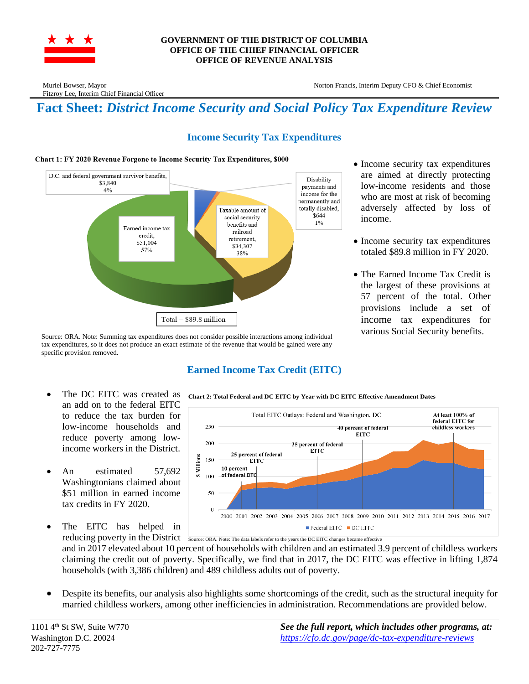

#### **GOVERNMENT OF THE DISTRICT OF COLUMBIA OFFICE OF THE CHIEF FINANCIAL OFFICER OFFICE OF REVENUE ANALYSIS**

Fitzroy Lee, Interim Chief Financial Officer

Muriel Bowser, Mayor Norton Francis, Interim Deputy CFO & Chief Economist

# **Fact Sheet:** *District Income Security and Social Policy Tax Expenditure Review*

### **Income Security Tax Expenditures**

#### Chart 1: FY 2020 Revenue Forgone to Income Security Tax Expenditures, \$000



Source: ORA. Note: Summing tax expenditures does not consider possible interactions among individual tax expenditures, so it does not produce an exact estimate of the revenue that would be gained were any specific provision removed.

- Income security tax expenditures are aimed at directly protecting low-income residents and those who are most at risk of becoming adversely affected by loss of income.
- Income security tax expenditures totaled \$89.8 million in FY 2020.
- The Earned Income Tax Credit is the largest of these provisions at 57 percent of the total. Other provisions include a set of income tax expenditures for various Social Security benefits.

- The DC EITC was created as an add on to the federal EITC to reduce the tax burden for low-income households and reduce poverty among lowincome workers in the District.
- An estimated 57,692 Washingtonians claimed about \$51 million in earned income tax credits in FY 2020.
- The EITC has helped in

## **Earned Income Tax Credit (EITC)**

**Chart 2: Total Federal and DC EITC by Year with DC EITC Effective Amendment Dates**



reducing poverty in the District Source: ORA. Note: The data labels refer to the years the DC EITC changes became effective and in 2017 elevated about 10 percent of households with children and an estimated 3.9 percent of childless workers claiming the credit out of poverty. Specifically, we find that in 2017, the DC EITC was effective in lifting 1,874 households (with 3,386 children) and 489 childless adults out of poverty.

• Despite its benefits, our analysis also highlights some shortcomings of the credit, such as the structural inequity for married childless workers, among other inefficiencies in administration. Recommendations are provided below.